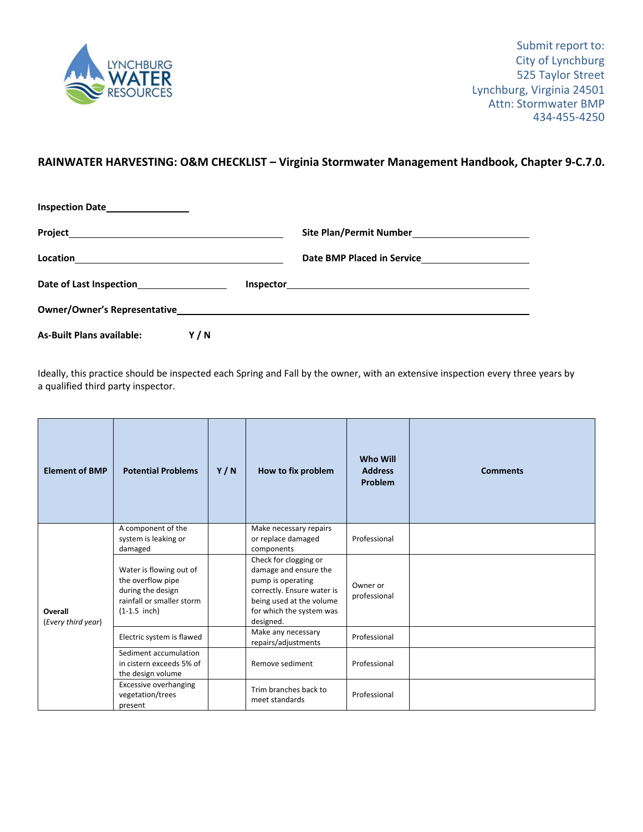

## **RAINWATER HARVESTING: O&M CHECKLIST – Virginia Stormwater Management Handbook, Chapter 9‐C.7.0.**

| Inspection Date<br><u>Late</u>                            |     |  |
|-----------------------------------------------------------|-----|--|
|                                                           |     |  |
|                                                           |     |  |
| Date of Last Inspection<br><u>Last of Last Inspection</u> |     |  |
|                                                           |     |  |
| <b>As-Built Plans available:</b>                          | Y/N |  |

Ideally, this practice should be inspected each Spring and Fall by the owner, with an extensive inspection every three years by a qualified third party inspector.

| <b>Element of BMP</b>         | <b>Potential Problems</b>                                                                                        | Y/N | How to fix problem                                                                                                                                                     | <b>Who Will</b><br><b>Address</b><br>Problem | <b>Comments</b> |
|-------------------------------|------------------------------------------------------------------------------------------------------------------|-----|------------------------------------------------------------------------------------------------------------------------------------------------------------------------|----------------------------------------------|-----------------|
| Overall<br>(Every third year) | A component of the<br>system is leaking or<br>damaged                                                            |     | Make necessary repairs<br>or replace damaged<br>components                                                                                                             | Professional                                 |                 |
|                               | Water is flowing out of<br>the overflow pipe<br>during the design<br>rainfall or smaller storm<br>$(1-1.5$ inch) |     | Check for clogging or<br>damage and ensure the<br>pump is operating<br>correctly. Ensure water is<br>being used at the volume<br>for which the system was<br>designed. | Owner or<br>professional                     |                 |
|                               | Electric system is flawed                                                                                        |     | Make any necessary<br>repairs/adjustments                                                                                                                              | Professional                                 |                 |
|                               | Sediment accumulation<br>in cistern exceeds 5% of<br>the design volume                                           |     | Remove sediment                                                                                                                                                        | Professional                                 |                 |
|                               | <b>Excessive overhanging</b><br>vegetation/trees<br>present                                                      |     | Trim branches back to<br>meet standards                                                                                                                                | Professional                                 |                 |